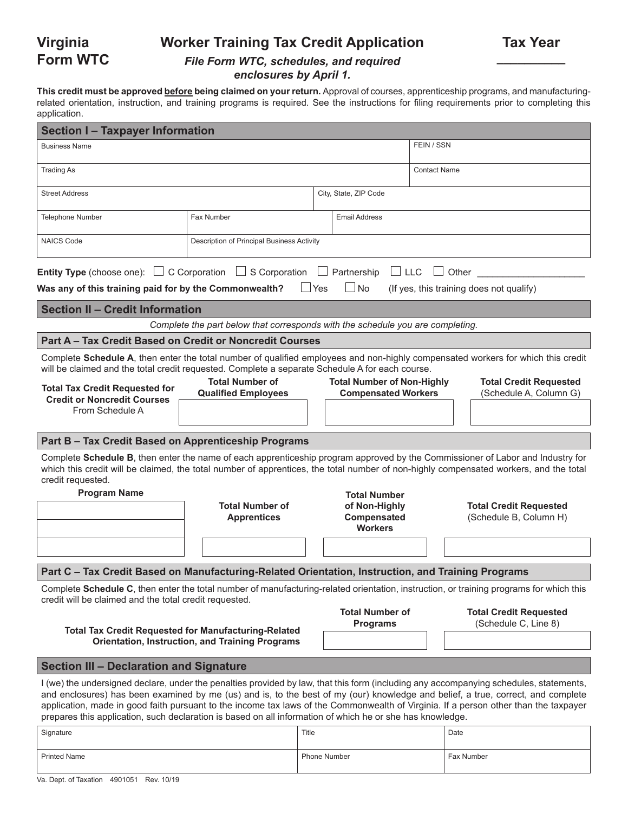# **Worker Training Tax Credit Application**

### *File Form WTC, schedules, and required enclosures by April 1.*

**This credit must be approved before being claimed on your return.** Approval of courses, apprenticeship programs, and manufacturingrelated orientation, instruction, and training programs is required. See the instructions for filing requirements prior to completing this application.

| <b>Section I-Taxpayer Information</b>                                                                                                                                                             |                                                                                |                                                                       |                                                                                                                                                                                                                                                                                                                                                                                                                    |  |  |  |
|---------------------------------------------------------------------------------------------------------------------------------------------------------------------------------------------------|--------------------------------------------------------------------------------|-----------------------------------------------------------------------|--------------------------------------------------------------------------------------------------------------------------------------------------------------------------------------------------------------------------------------------------------------------------------------------------------------------------------------------------------------------------------------------------------------------|--|--|--|
| <b>Business Name</b>                                                                                                                                                                              |                                                                                | FEIN / SSN                                                            |                                                                                                                                                                                                                                                                                                                                                                                                                    |  |  |  |
| <b>Trading As</b>                                                                                                                                                                                 | <b>Contact Name</b>                                                            |                                                                       |                                                                                                                                                                                                                                                                                                                                                                                                                    |  |  |  |
| <b>Street Address</b>                                                                                                                                                                             |                                                                                | City, State, ZIP Code                                                 |                                                                                                                                                                                                                                                                                                                                                                                                                    |  |  |  |
| <b>Telephone Number</b>                                                                                                                                                                           | Fax Number                                                                     | <b>Email Address</b>                                                  |                                                                                                                                                                                                                                                                                                                                                                                                                    |  |  |  |
| <b>NAICS Code</b>                                                                                                                                                                                 | Description of Principal Business Activity                                     |                                                                       |                                                                                                                                                                                                                                                                                                                                                                                                                    |  |  |  |
| <b>Entity Type</b> (choose one): $\Box$ C Corporation $\Box$ S Corporation $\Box$ Partnership $\Box$ LLC $\Box$ Other<br>Was any of this training paid for by the Commonwealth?                   |                                                                                | $\Box$ No<br>$\Box$ Yes                                               | (If yes, this training does not qualify)                                                                                                                                                                                                                                                                                                                                                                           |  |  |  |
| <b>Section II - Credit Information</b>                                                                                                                                                            |                                                                                |                                                                       |                                                                                                                                                                                                                                                                                                                                                                                                                    |  |  |  |
|                                                                                                                                                                                                   | Complete the part below that corresponds with the schedule you are completing. |                                                                       |                                                                                                                                                                                                                                                                                                                                                                                                                    |  |  |  |
| Part A - Tax Credit Based on Credit or Noncredit Courses                                                                                                                                          |                                                                                |                                                                       |                                                                                                                                                                                                                                                                                                                                                                                                                    |  |  |  |
| will be claimed and the total credit requested. Complete a separate Schedule A for each course.<br><b>Total Tax Credit Requested for</b>                                                          | <b>Total Number of</b><br><b>Qualified Employees</b>                           | <b>Total Number of Non-Highly</b>                                     | Complete Schedule A, then enter the total number of qualified employees and non-highly compensated workers for which this credit<br><b>Total Credit Requested</b>                                                                                                                                                                                                                                                  |  |  |  |
| <b>Credit or Noncredit Courses</b><br>From Schedule A                                                                                                                                             | <b>Compensated Workers</b>                                                     | (Schedule A, Column G)                                                |                                                                                                                                                                                                                                                                                                                                                                                                                    |  |  |  |
| Part B - Tax Credit Based on Apprenticeship Programs                                                                                                                                              |                                                                                |                                                                       |                                                                                                                                                                                                                                                                                                                                                                                                                    |  |  |  |
| credit requested.                                                                                                                                                                                 |                                                                                |                                                                       | Complete Schedule B, then enter the name of each apprenticeship program approved by the Commissioner of Labor and Industry for<br>which this credit will be claimed, the total number of apprentices, the total number of non-highly compensated workers, and the total                                                                                                                                            |  |  |  |
| <b>Program Name</b>                                                                                                                                                                               | <b>Total Number of</b><br><b>Apprentices</b>                                   | <b>Total Number</b><br>of Non-Highly<br>Compensated<br><b>Workers</b> | <b>Total Credit Requested</b><br>(Schedule B, Column H)                                                                                                                                                                                                                                                                                                                                                            |  |  |  |
|                                                                                                                                                                                                   |                                                                                |                                                                       |                                                                                                                                                                                                                                                                                                                                                                                                                    |  |  |  |
| Part C - Tax Credit Based on Manufacturing-Related Orientation, Instruction, and Training Programs                                                                                                |                                                                                |                                                                       |                                                                                                                                                                                                                                                                                                                                                                                                                    |  |  |  |
| Complete Schedule C, then enter the total number of manufacturing-related orientation, instruction, or training programs for which this<br>credit will be claimed and the total credit requested. |                                                                                |                                                                       |                                                                                                                                                                                                                                                                                                                                                                                                                    |  |  |  |
|                                                                                                                                                                                                   |                                                                                | <b>Total Number of</b>                                                | <b>Total Credit Requested</b>                                                                                                                                                                                                                                                                                                                                                                                      |  |  |  |
| (Schedule C, Line 8)<br><b>Programs</b><br><b>Total Tax Credit Requested for Manufacturing-Related</b><br><b>Orientation, Instruction, and Training Programs</b>                                  |                                                                                |                                                                       |                                                                                                                                                                                                                                                                                                                                                                                                                    |  |  |  |
| <b>Section III - Declaration and Signature</b>                                                                                                                                                    |                                                                                |                                                                       |                                                                                                                                                                                                                                                                                                                                                                                                                    |  |  |  |
| prepares this application, such declaration is based on all information of which he or she has knowledge.                                                                                         |                                                                                |                                                                       | I (we) the undersigned declare, under the penalties provided by law, that this form (including any accompanying schedules, statements,<br>and enclosures) has been examined by me (us) and is, to the best of my (our) knowledge and belief, a true, correct, and complete<br>application, made in good faith pursuant to the income tax laws of the Commonwealth of Virginia. If a person other than the taxpayer |  |  |  |

| Signature    | Title               | Date       |
|--------------|---------------------|------------|
| Printed Name | <b>Phone Number</b> | Fax Number |

**Virginia Form WTC**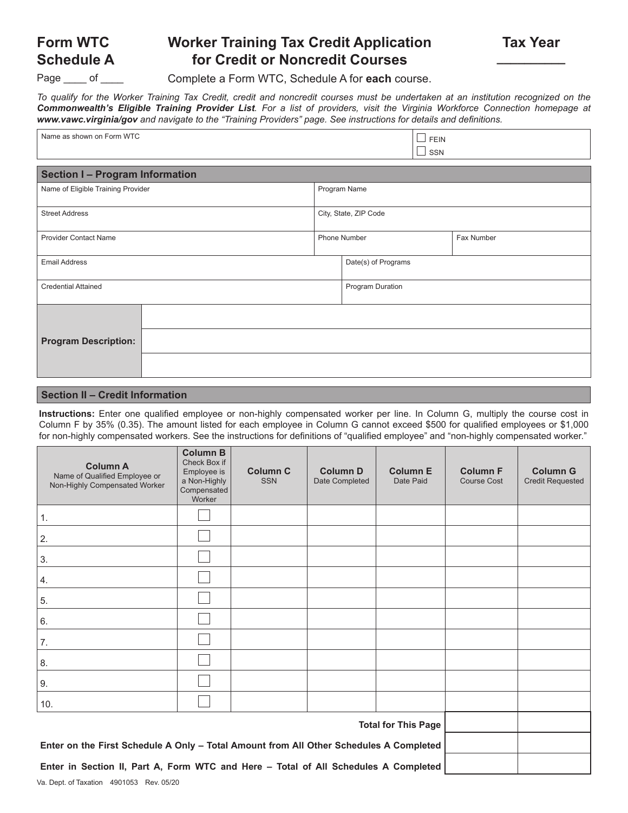# **Worker Training Tax Credit Application for Credit or Noncredit Courses**

**Schedule A** Page of

**Form WTC**

Complete a Form WTC, Schedule A for **each** course.

*To qualify for the Worker Training Tax Credit, credit and noncredit courses must be undertaken at an institution recognized on the Commonwealth's Eligible Training Provider List. For a list of providers, visit the Virginia Workforce Connection homepage at www.vawc.virginia/gov and navigate to the "Training Providers" page. See instructions for details and definitions.*

| Name as shown on Form WTC          |                                 |  | <b>FEIN</b> |  |  |  |  |
|------------------------------------|---------------------------------|--|-------------|--|--|--|--|
|                                    | SSN<br>$\overline{\phantom{a}}$ |  |             |  |  |  |  |
| Section I - Program Information    |                                 |  |             |  |  |  |  |
| Name of Eligible Training Provider | Program Name                    |  |             |  |  |  |  |
| <b>Street Address</b>              | City, State, ZIP Code           |  |             |  |  |  |  |
| <b>Provider Contact Name</b>       | Phone Number                    |  | Fax Number  |  |  |  |  |
| <b>Email Address</b>               | Date(s) of Programs             |  |             |  |  |  |  |
| <b>Credential Attained</b>         | Program Duration                |  |             |  |  |  |  |
|                                    |                                 |  |             |  |  |  |  |
| <b>Program Description:</b>        |                                 |  |             |  |  |  |  |
|                                    |                                 |  |             |  |  |  |  |

#### **Section II – Credit Information**

**Instructions:** Enter one qualified employee or non-highly compensated worker per line. In Column G, multiply the course cost in Column F by 35% (0.35). The amount listed for each employee in Column G cannot exceed \$500 for qualified employees or \$1,000 for non-highly compensated workers. See the instructions for definitions of "qualified employee" and "non-highly compensated worker."

| <b>Column A</b><br>Name of Qualified Employee or<br>Non-Highly Compensated Worker      | <b>Column B</b><br>Check Box if<br>Employee is<br>a Non-Highly<br>Compensated<br>Worker | <b>Column C</b><br><b>SSN</b> | <b>Column D</b><br>Date Completed | <b>Column E</b><br>Date Paid | <b>Column F</b><br>Course Cost | <b>Column G</b><br><b>Credit Requested</b> |
|----------------------------------------------------------------------------------------|-----------------------------------------------------------------------------------------|-------------------------------|-----------------------------------|------------------------------|--------------------------------|--------------------------------------------|
| 1.                                                                                     |                                                                                         |                               |                                   |                              |                                |                                            |
| 2.                                                                                     |                                                                                         |                               |                                   |                              |                                |                                            |
| 3.                                                                                     |                                                                                         |                               |                                   |                              |                                |                                            |
| 4.                                                                                     |                                                                                         |                               |                                   |                              |                                |                                            |
| 5.                                                                                     |                                                                                         |                               |                                   |                              |                                |                                            |
| 6.                                                                                     |                                                                                         |                               |                                   |                              |                                |                                            |
| 7.                                                                                     |                                                                                         |                               |                                   |                              |                                |                                            |
| 8.                                                                                     |                                                                                         |                               |                                   |                              |                                |                                            |
| 9.                                                                                     |                                                                                         |                               |                                   |                              |                                |                                            |
| 10.                                                                                    |                                                                                         |                               |                                   |                              |                                |                                            |
|                                                                                        |                                                                                         |                               |                                   |                              |                                |                                            |
| Enter on the First Schedule A Only - Total Amount from All Other Schedules A Completed |                                                                                         |                               |                                   |                              |                                |                                            |
| Enter in Section II, Part A, Form WTC and Here - Total of All Schedules A Completed    |                                                                                         |                               |                                   |                              |                                |                                            |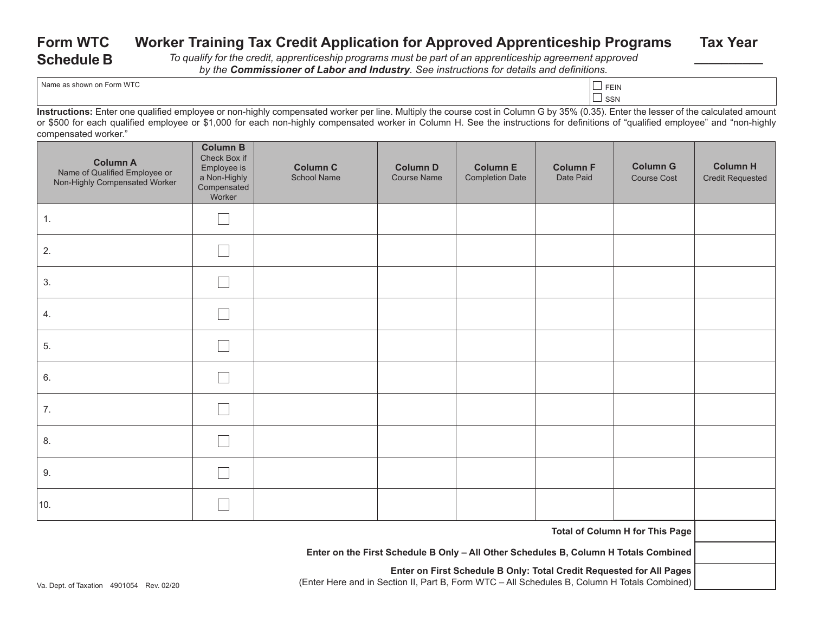#### **Form WTC Schedule B Worker Training Tax Credit Application for Approved Apprenticeship Programs** *To qualify for the credit, apprenticeship programs must be part of an apprenticeship agreement approved by the Commissioner of Labor and Industry. See instructions for details and definitions.* **Tax Year \_\_\_\_\_\_\_\_\_\_**

| Name as shown on Form WTC | <b>FFIN</b> |  |
|---------------------------|-------------|--|
|---------------------------|-------------|--|

 $\Box$  SSN

**Instructions:** Enter one qualified employee or non-highly compensated worker per line. Multiply the course cost in Column G by 35% (0.35). Enter the lesser of the calculated amount or \$500 for each qualified employee or \$1,000 for each non-highly compensated worker in Column H. See the instructions for definitions of "qualified employee" and "non-highly compensated worker."

| <b>Column A</b><br>Name of Qualified Employee or<br>Non-Highly Compensated Worker | <b>Column B</b><br>Check Box if<br>Employee is<br>a Non-Highly<br>Compensated<br>Worker | <b>Column C</b><br>School Name | <b>Column D</b><br><b>Course Name</b> | <b>Column E</b><br><b>Completion Date</b> | <b>Column F</b><br>Date Paid | <b>Column G</b><br>Course Cost | <b>Column H</b><br><b>Credit Requested</b> |
|-----------------------------------------------------------------------------------|-----------------------------------------------------------------------------------------|--------------------------------|---------------------------------------|-------------------------------------------|------------------------------|--------------------------------|--------------------------------------------|
| 1.                                                                                |                                                                                         |                                |                                       |                                           |                              |                                |                                            |
| 2.                                                                                |                                                                                         |                                |                                       |                                           |                              |                                |                                            |
| 3.                                                                                |                                                                                         |                                |                                       |                                           |                              |                                |                                            |
| 4.                                                                                |                                                                                         |                                |                                       |                                           |                              |                                |                                            |
| 5.                                                                                |                                                                                         |                                |                                       |                                           |                              |                                |                                            |
| 6.                                                                                |                                                                                         |                                |                                       |                                           |                              |                                |                                            |
| 7.                                                                                |                                                                                         |                                |                                       |                                           |                              |                                |                                            |
| 8.                                                                                |                                                                                         |                                |                                       |                                           |                              |                                |                                            |
| 9.                                                                                |                                                                                         |                                |                                       |                                           |                              |                                |                                            |
| 10.                                                                               |                                                                                         |                                |                                       |                                           |                              |                                |                                            |
| Total of Column H for This Page                                                   |                                                                                         |                                |                                       |                                           |                              |                                |                                            |

**Enter on the First Schedule B Only – All Other Schedules B, Column H Totals Combined** 

**Enter on First Schedule B Only: Total Credit Requested for All Pages** (Enter Here and in Section II, Part B, Form WTC – All Schedules B, Column H Totals Combined)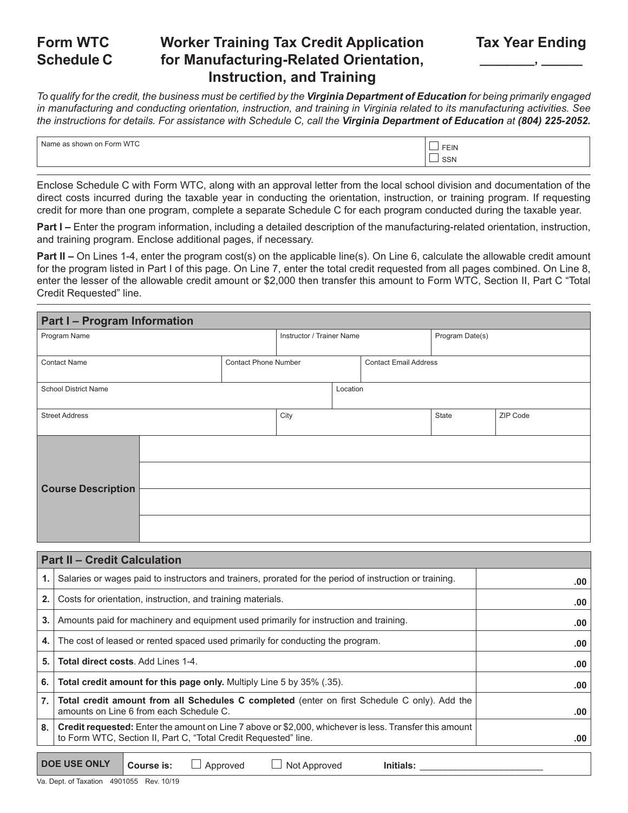#### **Form WTC Schedule C Worker Training Tax Credit Application for Manufacturing-Related Orientation, Instruction, and Training**

*To qualify for the credit, the business must be certified by the Virginia Department of Education for being primarily engaged in manufacturing and conducting orientation, instruction, and training in Virginia related to its manufacturing activities. See the instructions for details. For assistance with Schedule C, call the Virginia Department of Education at (804) 225-2052.*

| <b>WTC</b><br>Form<br>shown on<br>Nam | $\overline{\phantom{a}}$<br>FEIN |
|---------------------------------------|----------------------------------|
|                                       | __<br><b>SSN</b>                 |

Enclose Schedule C with Form WTC, along with an approval letter from the local school division and documentation of the direct costs incurred during the taxable year in conducting the orientation, instruction, or training program. If requesting credit for more than one program, complete a separate Schedule C for each program conducted during the taxable year.

**Part I –** Enter the program information, including a detailed description of the manufacturing-related orientation, instruction, and training program. Enclose additional pages, if necessary.

**Part II** – On Lines 1-4, enter the program cost(s) on the applicable line(s). On Line 6, calculate the allowable credit amount for the program listed in Part I of this page. On Line 7, enter the total credit requested from all pages combined. On Line 8, enter the lesser of the allowable credit amount or \$2,000 then transfer this amount to Form WTC, Section II, Part C "Total Credit Requested" line.

| <b>Part I-Program Information</b> |                             |                              |          |                 |       |          |  |
|-----------------------------------|-----------------------------|------------------------------|----------|-----------------|-------|----------|--|
| Program Name                      | Instructor / Trainer Name   |                              |          | Program Date(s) |       |          |  |
|                                   | <b>Contact Phone Number</b> |                              |          |                 |       |          |  |
| <b>Contact Name</b>               |                             | <b>Contact Email Address</b> |          |                 |       |          |  |
| <b>School District Name</b>       |                             |                              | Location |                 |       |          |  |
| <b>Street Address</b>             |                             | City                         |          |                 | State | ZIP Code |  |
|                                   |                             |                              |          |                 |       |          |  |
| <b>Course Description</b>         |                             |                              |          |                 |       |          |  |
|                                   |                             |                              |          |                 |       |          |  |
|                                   |                             |                              |          |                 |       |          |  |

|                  | <b>Part II - Credit Calculation</b>                                                                                                                                              |     |
|------------------|----------------------------------------------------------------------------------------------------------------------------------------------------------------------------------|-----|
| 1.               | Salaries or wages paid to instructors and trainers, prorated for the period of instruction or training.                                                                          | .00 |
| 2.               | Costs for orientation, instruction, and training materials.                                                                                                                      | .00 |
| 3.               | Amounts paid for machinery and equipment used primarily for instruction and training.                                                                                            | .00 |
| 4.               | The cost of leased or rented spaced used primarily for conducting the program.                                                                                                   | .00 |
| 5.               | <b>Total direct costs. Add Lines 1-4.</b>                                                                                                                                        | .00 |
| 6.               | Total credit amount for this page only. Multiply Line 5 by 35% (.35).                                                                                                            | .00 |
| $\overline{7}$ . | Total credit amount from all Schedules C completed (enter on first Schedule C only). Add the<br>amounts on Line 6 from each Schedule C.                                          | .00 |
| 8.               | <b>Credit requested:</b> Enter the amount on Line 7 above or \$2,000, whichever is less. Transfer this amount<br>to Form WTC, Section II, Part C, "Total Credit Requested" line. | .00 |
|                  |                                                                                                                                                                                  |     |

**DOE USE ONLY** Course is:  $\Box$  Approved  $\Box$  Not Approved Initials:

Va. Dept. of Taxation 4901055 Rev. 10/19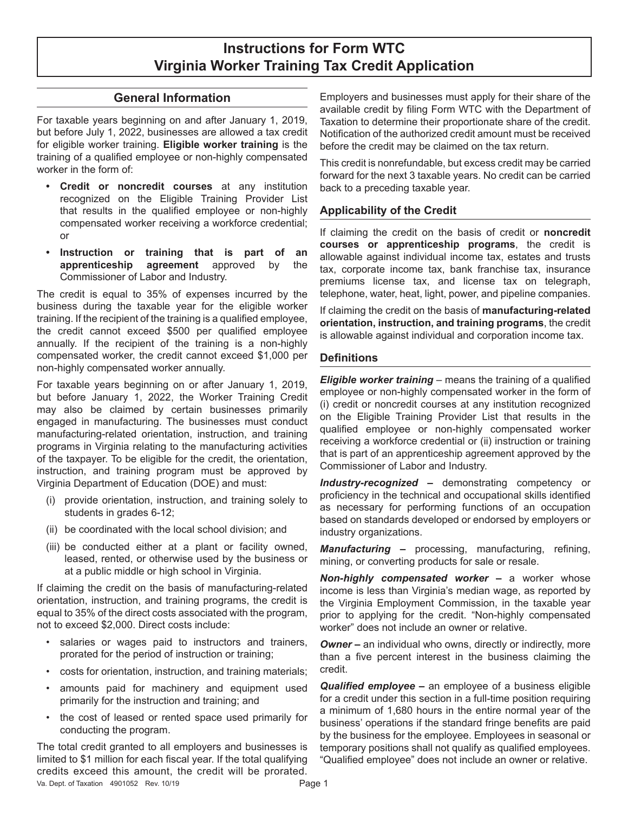## **Instructions for Form WTC Virginia Worker Training Tax Credit Application**

#### **General Information**

For taxable years beginning on and after January 1, 2019, but before July 1, 2022, businesses are allowed a tax credit for eligible worker training. **Eligible worker training** is the training of a qualified employee or non-highly compensated worker in the form of:

- **• Credit or noncredit courses** at any institution recognized on the Eligible Training Provider List that results in the qualified employee or non-highly compensated worker receiving a workforce credential; or
- **• Instruction or training that is part of an apprenticeship agreement** approved by the Commissioner of Labor and Industry.

The credit is equal to 35% of expenses incurred by the business during the taxable year for the eligible worker training. If the recipient of the training is a qualified employee, the credit cannot exceed \$500 per qualified employee annually. If the recipient of the training is a non-highly compensated worker, the credit cannot exceed \$1,000 per non-highly compensated worker annually.

For taxable years beginning on or after January 1, 2019, but before January 1, 2022, the Worker Training Credit may also be claimed by certain businesses primarily engaged in manufacturing. The businesses must conduct manufacturing-related orientation, instruction, and training programs in Virginia relating to the manufacturing activities of the taxpayer. To be eligible for the credit, the orientation, instruction, and training program must be approved by Virginia Department of Education (DOE) and must:

- (i) provide orientation, instruction, and training solely to students in grades 6-12;
- (ii) be coordinated with the local school division; and
- (iii) be conducted either at a plant or facility owned, leased, rented, or otherwise used by the business or at a public middle or high school in Virginia.

If claiming the credit on the basis of manufacturing-related orientation, instruction, and training programs, the credit is equal to 35% of the direct costs associated with the program, not to exceed \$2,000. Direct costs include:

- salaries or wages paid to instructors and trainers, prorated for the period of instruction or training;
- costs for orientation, instruction, and training materials;
- amounts paid for machinery and equipment used primarily for the instruction and training; and
- the cost of leased or rented space used primarily for conducting the program.

The total credit granted to all employers and businesses is limited to \$1 million for each fiscal year. If the total qualifying credits exceed this amount, the credit will be prorated. Va. Dept. of Taxation 4901052 Rev. 10/19 **Page 1** 

Employers and businesses must apply for their share of the available credit by filing Form WTC with the Department of Taxation to determine their proportionate share of the credit. Notification of the authorized credit amount must be received before the credit may be claimed on the tax return.

This credit is nonrefundable, but excess credit may be carried forward for the next 3 taxable years. No credit can be carried back to a preceding taxable year.

#### **Applicability of the Credit**

If claiming the credit on the basis of credit or **noncredit courses or apprenticeship programs**, the credit is allowable against individual income tax, estates and trusts tax, corporate income tax, bank franchise tax, insurance premiums license tax, and license tax on telegraph, telephone, water, heat, light, power, and pipeline companies.

If claiming the credit on the basis of **manufacturing-related orientation, instruction, and training programs**, the credit is allowable against individual and corporation income tax.

#### **Definitions**

*Eligible worker training* – means the training of a qualified employee or non-highly compensated worker in the form of (i) credit or noncredit courses at any institution recognized on the Eligible Training Provider List that results in the qualified employee or non-highly compensated worker receiving a workforce credential or (ii) instruction or training that is part of an apprenticeship agreement approved by the Commissioner of Labor and Industry.

*Industry-recognized –* demonstrating competency or proficiency in the technical and occupational skills identified as necessary for performing functions of an occupation based on standards developed or endorsed by employers or industry organizations.

*Manufacturing –* processing, manufacturing, refining, mining, or converting products for sale or resale.

*Non-highly compensated worker –* a worker whose income is less than Virginia's median wage, as reported by the Virginia Employment Commission, in the taxable year prior to applying for the credit. "Non-highly compensated worker" does not include an owner or relative.

**Owner** – an individual who owns, directly or indirectly, more than a five percent interest in the business claiming the credit.

*Qualified employee –* an employee of a business eligible for a credit under this section in a full-time position requiring a minimum of 1,680 hours in the entire normal year of the business' operations if the standard fringe benefits are paid by the business for the employee. Employees in seasonal or temporary positions shall not qualify as qualified employees. "Qualified employee" does not include an owner or relative.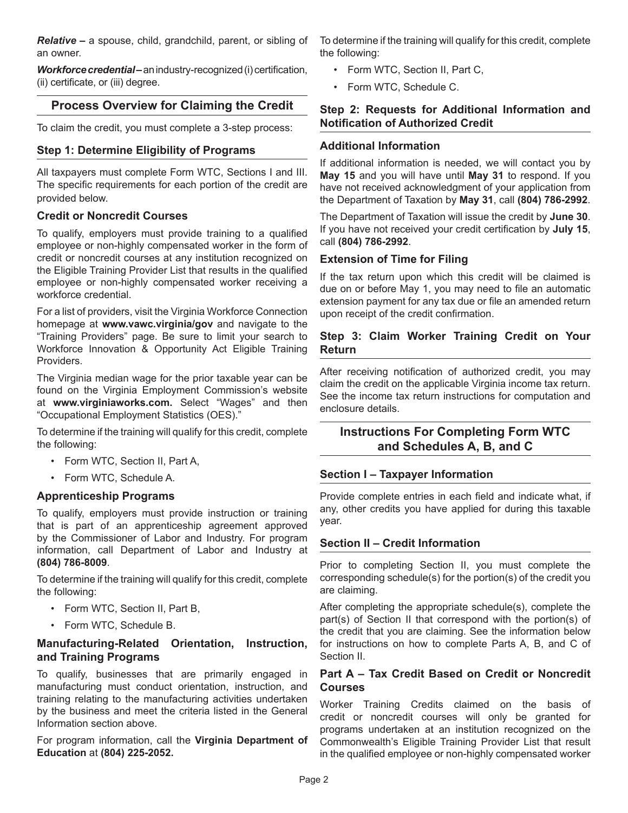*Relative –* a spouse, child, grandchild, parent, or sibling of an owner.

*Workforce credential –* an industry-recognized (i) certification, (ii) certificate, or (iii) degree.

## **Process Overview for Claiming the Credit**

To claim the credit, you must complete a 3-step process:

#### **Step 1: Determine Eligibility of Programs**

All taxpayers must complete Form WTC, Sections I and III. The specific requirements for each portion of the credit are provided below.

#### **Credit or Noncredit Courses**

To qualify, employers must provide training to a qualified employee or non-highly compensated worker in the form of credit or noncredit courses at any institution recognized on the Eligible Training Provider List that results in the qualified employee or non-highly compensated worker receiving a workforce credential.

For a list of providers, visit the Virginia Workforce Connection homepage at **www.vawc.virginia/gov** and navigate to the "Training Providers" page. Be sure to limit your search to Workforce Innovation & Opportunity Act Eligible Training Providers.

The Virginia median wage for the prior taxable year can be found on the Virginia Employment Commission's website at **www.virginiaworks.com.** Select "Wages" and then "Occupational Employment Statistics (OES)."

To determine if the training will qualify for this credit, complete the following:

- Form WTC, Section II, Part A,
- Form WTC, Schedule A.

#### **Apprenticeship Programs**

To qualify, employers must provide instruction or training that is part of an apprenticeship agreement approved by the Commissioner of Labor and Industry. For program information, call Department of Labor and Industry at **(804) 786-8009**.

To determine if the training will qualify for this credit, complete the following:

- Form WTC, Section II, Part B,
- Form WTC, Schedule B.

#### **Manufacturing-Related Orientation, Instruction, and Training Programs**

To qualify, businesses that are primarily engaged in manufacturing must conduct orientation, instruction, and training relating to the manufacturing activities undertaken by the business and meet the criteria listed in the General Information section above.

For program information, call the **Virginia Department of Education** at **(804) 225-2052.**

To determine if the training will qualify for this credit, complete the following:

- Form WTC, Section II, Part C,
- Form WTC, Schedule C.

#### **Step 2: Requests for Additional Information and Notification of Authorized Credit**

#### **Additional Information**

If additional information is needed, we will contact you by **May 15** and you will have until **May 31** to respond. If you have not received acknowledgment of your application from the Department of Taxation by **May 31**, call **(804) 786-2992**.

The Department of Taxation will issue the credit by **June 30**. If you have not received your credit certification by **July 15**, call **(804) 786-2992**.

#### **Extension of Time for Filing**

If the tax return upon which this credit will be claimed is due on or before May 1, you may need to file an automatic extension payment for any tax due or file an amended return upon receipt of the credit confirmation.

#### **Step 3: Claim Worker Training Credit on Your Return**

After receiving notification of authorized credit, you may claim the credit on the applicable Virginia income tax return. See the income tax return instructions for computation and enclosure details.

#### **Instructions For Completing Form WTC and Schedules A, B, and C**

#### **Section I – Taxpayer Information**

Provide complete entries in each field and indicate what, if any, other credits you have applied for during this taxable year.

#### **Section II – Credit Information**

Prior to completing Section II, you must complete the corresponding schedule(s) for the portion(s) of the credit you are claiming.

After completing the appropriate schedule(s), complete the part(s) of Section II that correspond with the portion(s) of the credit that you are claiming. See the information below for instructions on how to complete Parts A, B, and C of Section II.

#### **Part A – Tax Credit Based on Credit or Noncredit Courses**

Worker Training Credits claimed on the basis of credit or noncredit courses will only be granted for programs undertaken at an institution recognized on the Commonwealth's Eligible Training Provider List that result in the qualified employee or non-highly compensated worker